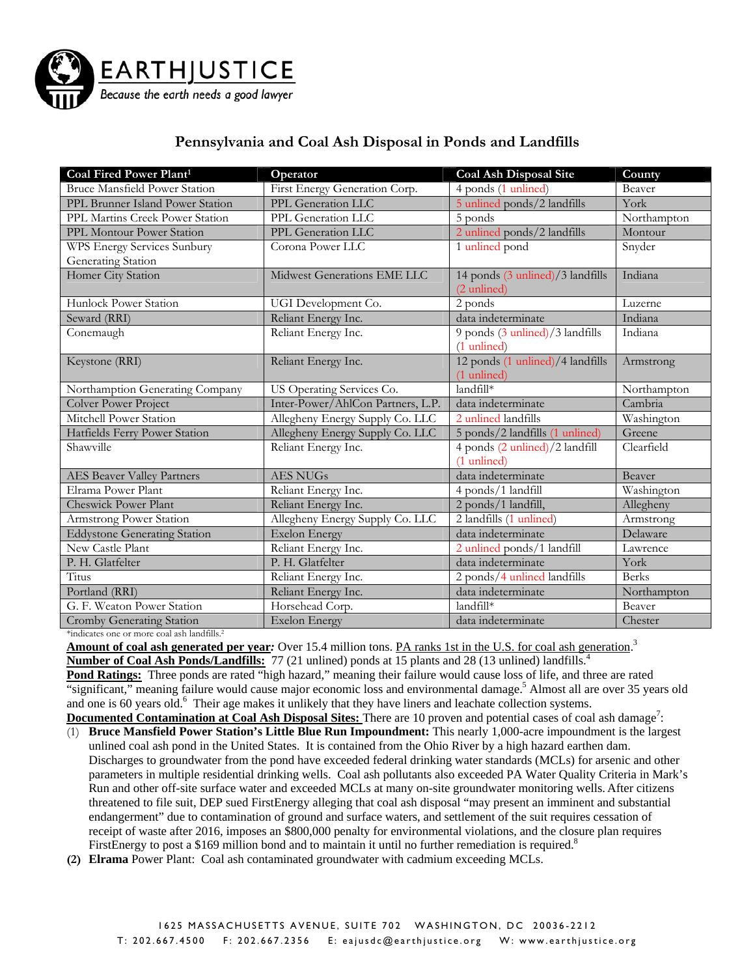

## **Pennsylvania and Coal Ash Disposal in Ponds and Landfills**

| Coal Fired Power Plant <sup>1</sup>  | Operator                          | <b>Coal Ash Disposal Site</b>    | County       |
|--------------------------------------|-----------------------------------|----------------------------------|--------------|
| <b>Bruce Mansfield Power Station</b> | First Energy Generation Corp.     | 4 ponds (1 unlined)              | Beaver       |
| PPL Brunner Island Power Station     | PPL Generation LLC                | 5 unlined ponds/2 landfills      | York         |
| PPL Martins Creek Power Station      | PPL Generation LLC                | 5 ponds                          | Northampton  |
| PPL Montour Power Station            | PPL Generation LLC                | 2 unlined ponds/2 landfills      | Montour      |
| WPS Energy Services Sunbury          | Corona Power LLC                  | 1 unlined pond                   | Snyder       |
| Generating Station                   |                                   |                                  |              |
| Homer City Station                   | Midwest Generations EME LLC       | 14 ponds (3 unlined)/3 landfills | Indiana      |
|                                      |                                   | $(2 \text{ unlined})$            |              |
| Hunlock Power Station                | UGI Development Co.               | 2 ponds                          | Luzerne      |
| Seward (RRI)                         | Reliant Energy Inc.               | data indeterminate               | Indiana      |
| Conemaugh                            | Reliant Energy Inc.               | 9 ponds (3 unlined)/3 landfills  | Indiana      |
|                                      |                                   | $(1$ unlined)                    |              |
| Keystone (RRI)                       | Reliant Energy Inc.               | 12 ponds (1 unlined)/4 landfills | Armstrong    |
|                                      |                                   | (1 unlined)                      |              |
| Northamption Generating Company      | US Operating Services Co.         | landfill*                        | Northampton  |
| Colver Power Project                 | Inter-Power/AhlCon Partners, L.P. | data indeterminate               | Cambria      |
| Mitchell Power Station               | Allegheny Energy Supply Co. LLC   | 2 unlined landfills              | Washington   |
| Hatfields Ferry Power Station        | Allegheny Energy Supply Co. LLC   | 5 ponds/2 landfills (1 unlined)  | Greene       |
| Shawville                            | Reliant Energy Inc.               | 4 ponds (2 unlined)/2 landfill   | Clearfield   |
|                                      |                                   | (1 unlined)                      |              |
| <b>AES Beaver Valley Partners</b>    | <b>AES NUGS</b>                   | data indeterminate               | Beaver       |
| Elrama Power Plant                   | Reliant Energy Inc.               | 4 ponds/1 landfill               | Washington   |
| <b>Cheswick Power Plant</b>          | Reliant Energy Inc.               | 2 ponds/1 landfill,              | Allegheny    |
| Armstrong Power Station              | Allegheny Energy Supply Co. LLC   | 2 landfills (1 unlined)          | Armstrong    |
| <b>Eddystone Generating Station</b>  | <b>Exelon Energy</b>              | data indeterminate               | Delaware     |
| New Castle Plant                     | Reliant Energy Inc.               | 2 unlined ponds/1 landfill       | Lawrence     |
| P. H. Glatfelter                     | P. H. Glatfelter                  | data indeterminate               | York         |
| Titus                                | Reliant Energy Inc.               | 2 ponds/4 unlined landfills      | <b>Berks</b> |
| Portland (RRI)                       | Reliant Energy Inc.               | data indeterminate               | Northampton  |
| G. F. Weaton Power Station           | Horsehead Corp.                   | landfill*                        | Beaver       |
| Cromby Generating Station            | <b>Exelon Energy</b>              | data indeterminate               | Chester      |

\*indicates one or more coal ash landfills.2

**Amount of coal ash generated per year**: Over 15.4 million tons. PA ranks 1st in the U.S. for coal ash generation.<sup>3</sup>

**Number of Coal Ash Ponds/Landfills:** 77 (21 unlined) ponds at 15 plants and 28 (13 unlined) landfills.<sup>4</sup> Pond Ratings: Three ponds are rated "high hazard," meaning their failure would cause loss of life, and three are rated "significant," meaning failure would cause major economic loss and environmental damage.<sup>5</sup> Almost all are over 35 years old and one is 60 years old.<sup>6</sup> Their age makes it unlikely that they have liners and leachate collection systems. **Documented Contamination at Coal Ash Disposal Sites:** There are 10 proven and potential cases of coal ash damage<sup>7</sup>:

- (1) **Bruce Mansfield Power Station's Little Blue Run Impoundment:** This nearly 1,000-acre impoundment is the largest unlined coal ash pond in the United States. It is contained from the Ohio River by a high hazard earthen dam. Discharges to groundwater from the pond have exceeded federal drinking water standards (MCLs) for arsenic and other parameters in multiple residential drinking wells. Coal ash pollutants also exceeded PA Water Quality Criteria in Mark's Run and other off-site surface water and exceeded MCLs at many on-site groundwater monitoring wells. After citizens threatened to file suit, DEP sued FirstEnergy alleging that coal ash disposal "may present an imminent and substantial endangerment" due to contamination of ground and surface waters, and settlement of the suit requires cessation of receipt of waste after 2016, imposes an \$800,000 penalty for environmental violations, and the closure plan requires FirstEnergy to post a \$169 million bond and to maintain it until no further remediation is required.<sup>8</sup>
- **(2) Elrama** Power Plant: Coal ash contaminated groundwater with cadmium exceeding MCLs.